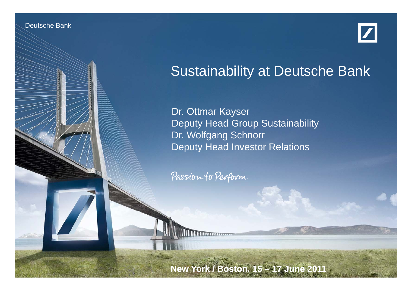Deutsche Banken Banken

Investor Relations 06/11



# Sustainability at Deutsche Bank

Dr. Ottmar Kayser Deputy Head Group Sustainability Dr. Wolfgang Schnorr Deputy Head Investor Relations

Passion to Perform

Sustainability at Deutsche Bank Dr. Schnorr, Dr. Kayser

**New York / Boston, 15 – 17 June 2011**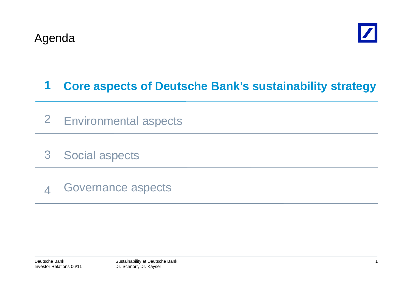

### **1Core aspects of Deutsche Bank's sustainability strategy**

- 2 Environmental aspects
- 3Social aspects
- 4Governance aspects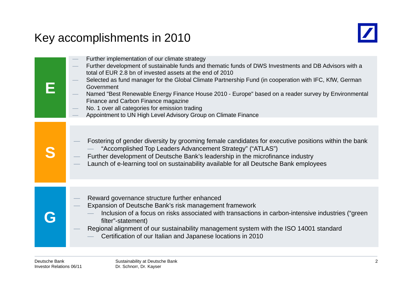# Key accomplishments in 2010



| Further implementation of our climate strategy<br>Further development of sustainable funds and thematic funds of DWS Investments and DB Advisors with a<br>total of EUR 2.8 bn of invested assets at the end of 2010<br>Selected as fund manager for the Global Climate Partnership Fund (in cooperation with IFC, KfW, German<br>Government<br>Named "Best Renewable Energy Finance House 2010 - Europe" based on a reader survey by Environmental<br>Finance and Carbon Finance magazine<br>No. 1 over all categories for emission trading<br>Appointment to UN High Level Advisory Group on Climate Finance |
|----------------------------------------------------------------------------------------------------------------------------------------------------------------------------------------------------------------------------------------------------------------------------------------------------------------------------------------------------------------------------------------------------------------------------------------------------------------------------------------------------------------------------------------------------------------------------------------------------------------|
| Fostering of gender diversity by grooming female candidates for executive positions within the bank<br>"Accomplished Top Leaders Advancement Strategy" ("ATLAS")<br>Further development of Deutsche Bank's leadership in the microfinance industry<br>Launch of e-learning tool on sustainability available for all Deutsche Bank employees                                                                                                                                                                                                                                                                    |
| Reward governance structure further enhanced<br>Expansion of Deutsche Bank's risk management framework<br>Inclusion of a focus on risks associated with transactions in carbon-intensive industries ("green"<br>filter"-statement)<br>Regional alignment of our sustainability management system with the ISO 14001 standard<br>Certification of our Italian and Japanese locations in 2010                                                                                                                                                                                                                    |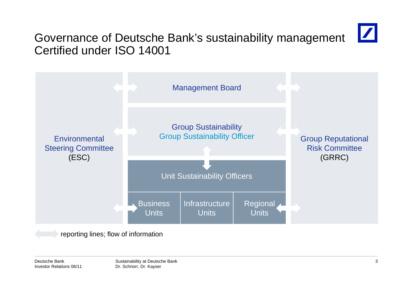# $\boldsymbol{Z}$

# Governance of Deutsche Bank's sustainability management Certified under ISO 14001



reporting lines; flow of information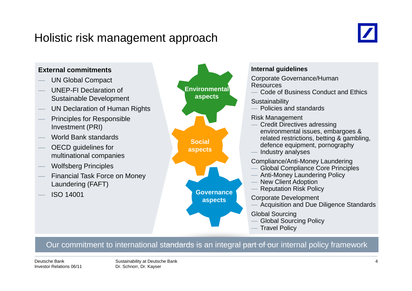### Holistic risk management approach



### **External commitments**UN Global Compact **Internal guidelines EXECTE CORPORATION CONSUMING CORPORATION** Corporate Governance/Human UNEP-FI Declaration of Sustainable Development  $\,$  UN Declaration of Human Rights Resources Code of Business Conduct and Ethics **Sustainability**  Policies and standards **Environmental aspects** Principles for Responsible Investment (PRI) World Bank standards  $-$  OECD guidelines for Risk Management Credit Directives adressing environmental issues, embargoes & related restrictions, betting & gambling, **Social Social Exercise Exercise** Politicians, Social **Social Social Social Social Social Social** Section **Social** Section **Social** Section **Section** Section **Section** Section **Section** Section **Section** Section **Secti** multinational companies Wolfsberg Principles — Financial Task Force on Money<br>Laundering (FAFT) Industry analyses Compliance/Anti-Money Laundering Global Compliance Core Principles Anti-Money Laundering Policy **aspects** ISO 14001 New Client Adoption Reputation Risk Policy Corporate Development Acquisition and Due Diligence Standards **Governance aspects** Global Sourcing Global Sourcing Policy Travel Policy

### Our commitment to international standards is an integral part of our internal policy framework

Deutsche BankInvestor Relations 06/11 Sustainability at Deutsche Bank Dr. Schnorr, Dr. Kayser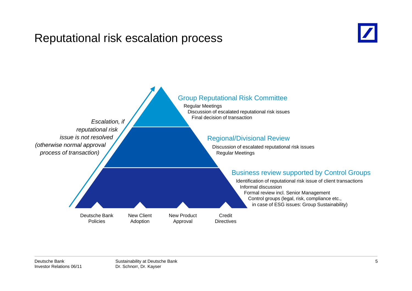### Reputational risk escalation process



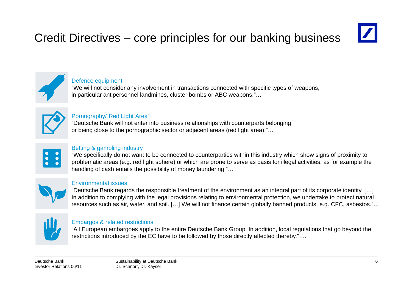# Credit Directives – core principles for our banking business



### Defence equipment

"We will not consider any involvement in transactions connected with specific types of weapons, in particular antipersonnel landmines, cluster bombs or ABC weapons."…



### Pornography/"Red Light Area"

"Deutsche Bank will not enter into business relationships with counterparts belonging or being close to the pornographic sector or adjacent areas (red light area)."…



### Betting & gambling industry

"We specifically do not want to be connected to counterparties within this industry which show signs of proximity to problematic areas (e.g. red light sphere) or which are prone to serve as basis for illegal activities, as for example the handling of cash entails the possibility of money laundering."…



### Environmental issues

"Deutsche Bank regards the responsible treatment of the environment as an integral part of its corporate identity. […] In addition to complying with the legal provisions relating to environmental protection, we undertake to protect natural resources such as air, water, and soil. […] We will not finance certain globally banned products, e.g. CFC, asbestos."…



### Embargos & related restrictions

"All European embargoes apply to the entire Deutsche Bank Group. In addition, local regulations that go beyond the restrictions introduced by the EC have to be followed by those directly affected thereby."….

Deutsche BankInvestor Relations 06/11 Sustainability at Deutsche Bank Dr. Schnorr, Dr. Kayser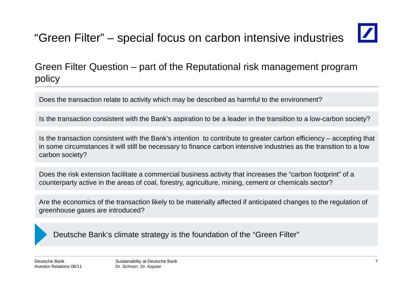# "Green Filter" – special focus on carbon intensive industries

Green Filter Question – part of the Reputational risk management program policy

Does the transaction relate to activity which may be described as harmful to the environment?

Is the transaction consistent with the Bank's aspiration to be a leader in the transition to a low-carbon society?

Is the transaction consistent with the Bank's intention to contribute to greater carbon efficiency – accepting that in some circumstances it will still be necessary to finance carbon intensive industries as the transition to a low carbon society?

Does the risk extension facilitate a commercial business activity that increases the "carbon footprint" of a counterparty active in the areas of coal, forestry, agriculture, mining, cement or chemicals sector?

Are the economics of the transaction likely to be materially affected if anticipated changes to the regulation of greenhouse gases are introduced?

Deutsche Bank's climate strategy is the foundation of the "Green Filter"

Deutsche BankInvestor Relations 06/11 Sustainability at Deutsche Bank Dr. Schnorr, Dr. Kayser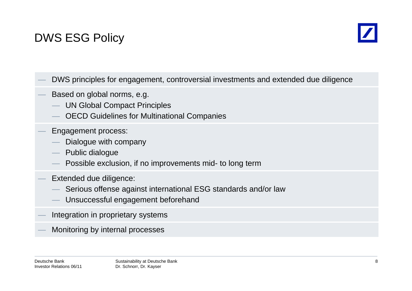# DWS ESG Policy



- DWS principles for engagement, controversial investments and extended due diligence
- Based on global norms, e.g.
	- UN Global Compact Principles
	- OECD Guidelines for Multinational Companies
- Engagement process:
	- Dialogue with company
	- Public dialogue
	- Possible exclusion, if no improvements mid- to long term
- Extended due diligence:
	- Serious offense against international ESG standards and/or law
	- Unsuccessful engagement beforehand
- Integration in proprietary systems
- Monitoring by internal processes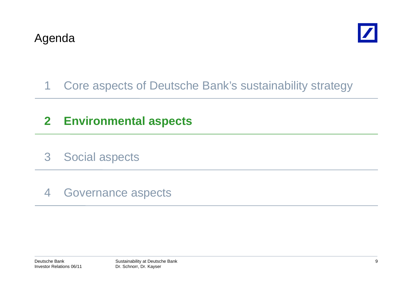

# 1 Core aspects of Deutsche Bank's sustainability strategy

# **2 Environmental aspects**

- 3 Social aspects
- 4 Governance aspects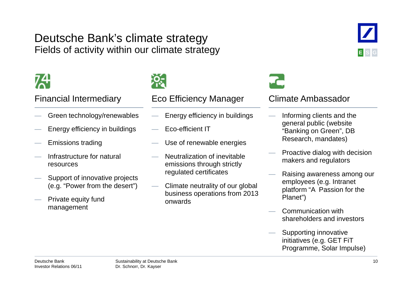### Deutsche Bank's climate strategy Fields of activity within our climate strategy

- Green technology/renewables
- Energy efficiency in buildings
- $-$  Emissions trading
- Infrastructure for natural resources
- Support of innovative projects (e.g. "Power from the desert")
- Private equity fund management



### Financial Intermediary Eco Efficiency Manager Climate Ambassador

- Energy efficiency in buildings
- Eco-efficient IT
- $-$  Use of renewable energies
- Neutralization of inevitable emissions through strictly regulated certificates
- Climate neutrality of our global business operations from 2013 onwards

- Informing clients and the general public (website "Banking on Green", DB Research, mandates)
- Proactive dialog with decision makers and regulators
- Raising awareness among our employees (e.g. Intranet platform "A Passion for the Planet")
- Communication with shareholders and investors
- Supporting innovative initiatives (e.g. GET FiT Programme, Solar Impulse)

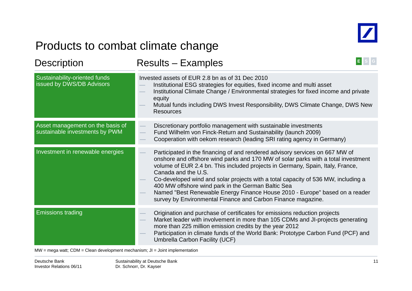

# Products to combat climate change

| <b>Description</b>                                                 | E<br><b>Results - Examples</b>                                                                                                                                                                                                                                                                                                                                                                                                                                                                                                                                       |  |  |  |
|--------------------------------------------------------------------|----------------------------------------------------------------------------------------------------------------------------------------------------------------------------------------------------------------------------------------------------------------------------------------------------------------------------------------------------------------------------------------------------------------------------------------------------------------------------------------------------------------------------------------------------------------------|--|--|--|
| Sustainability-oriented funds<br>issued by DWS/DB Advisors         | Invested assets of EUR 2.8 bn as of 31 Dec 2010<br>Institutional ESG strategies for equities, fixed income and multi asset<br>Institutional Climate Change / Environmental strategies for fixed income and private<br>equity<br>Mutual funds including DWS Invest Responsibility, DWS Climate Change, DWS New<br><b>Resources</b>                                                                                                                                                                                                                                    |  |  |  |
| Asset management on the basis of<br>sustainable investments by PWM | Discretionary portfolio management with sustainable investments<br>Fund Wilhelm von Finck-Return and Sustainability (launch 2009)<br>Cooperation with oekom research (leading SRI rating agency in Germany)                                                                                                                                                                                                                                                                                                                                                          |  |  |  |
| Investment in renewable energies                                   | Participated in the financing of and rendered advisory services on 667 MW of<br>onshore and offshore wind parks and 170 MW of solar parks with a total investment<br>volume of EUR 2.4 bn. This included projects in Germany, Spain, Italy, France,<br>Canada and the U.S.<br>Co-developed wind and solar projects with a total capacity of 536 MW, including a<br>400 MW offshore wind park in the German Baltic Sea<br>Named "Best Renewable Energy Finance House 2010 - Europe" based on a reader<br>survey by Environmental Finance and Carbon Finance magazine. |  |  |  |
| <b>Emissions trading</b>                                           | Origination and purchase of certificates for emissions reduction projects<br>Market leader with involvement in more than 105 CDMs and JI-projects generating<br>more than 225 million emission credits by the year 2012<br>Participation in climate funds of the World Bank: Prototype Carbon Fund (PCF) and<br>Umbrella Carbon Facility (UCF)                                                                                                                                                                                                                       |  |  |  |

MW = mega watt; CDM = Clean development mechanism; JI = Joint implementation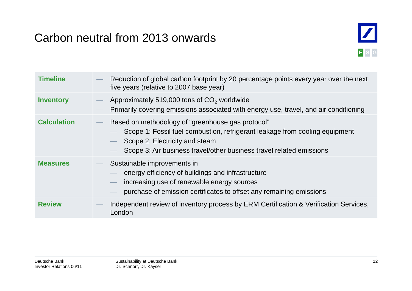# Carbon neutral from 2013 onwards



| <b>Timeline</b>    | Reduction of global carbon footprint by 20 percentage points every year over the next<br>five years (relative to 2007 base year)                                                                                                           |
|--------------------|--------------------------------------------------------------------------------------------------------------------------------------------------------------------------------------------------------------------------------------------|
| <b>Inventory</b>   | Approximately 519,000 tons of CO <sub>2</sub> worldwide<br>Primarily covering emissions associated with energy use, travel, and air conditioning                                                                                           |
| <b>Calculation</b> | Based on methodology of "greenhouse gas protocol"<br>Scope 1: Fossil fuel combustion, refrigerant leakage from cooling equipment<br>Scope 2: Electricity and steam<br>Scope 3: Air business travel/other business travel related emissions |
| <b>Measures</b>    | Sustainable improvements in<br>energy efficiency of buildings and infrastructure<br>increasing use of renewable energy sources<br>purchase of emission certificates to offset any remaining emissions                                      |
| <b>Review</b>      | Independent review of inventory process by ERM Certification & Verification Services,<br>London                                                                                                                                            |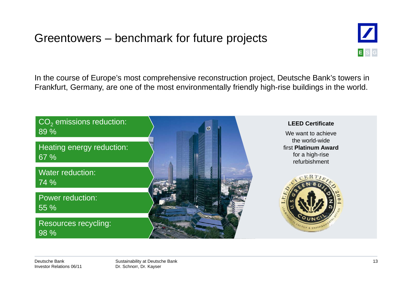# Greentowers – benchmark for future projects



In the course of Europe's most comprehensive reconstruction project, Deutsche Bank's towers in Frankfurt, Germany, are one of the most environmentally friendly high-rise buildings in the world.



Deutsche BankInvestor Relations 06/11 Sustainability at Deutsche Bank Dr. Schnorr, Dr. Kayser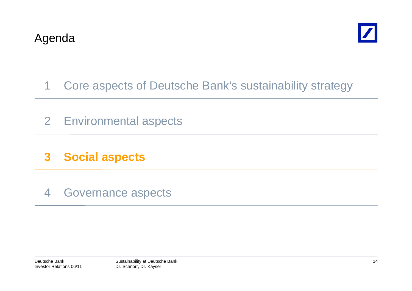

# 1 Core aspects of Deutsche Bank's sustainability strategy

- 2 Environmental aspects
- **3 Social aspects**
- 4 Governance aspects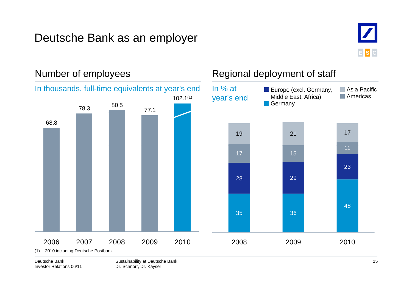# Deutsche Bank as an employer



### Number of employees Regional deployment of staff 78.3 80.5 77.1In % at year's end **Asia Pacific Americas E** Europe (excl. Germany, Middle East, Africa) **Germany** In thousands, full-time equivalents at year's end 102.1(1) 68.819 21 17 28 29 2317 151135 36 482006 2007 2008 2009 2010 2008 2009 009 0 02010(1) 2010 including Deutsche Postbank

Deutsche BankInvestor Relations 06/11 Sustainability at Deutsche Bank Dr. Schnorr, Dr. Kayser

15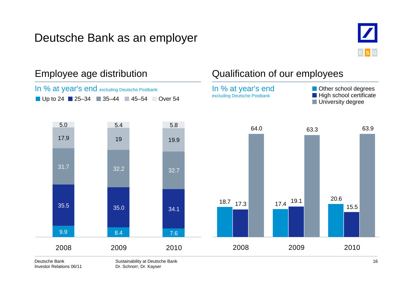# Deutsche Bank as an employer





Investor Relations 06/11

Dr. Schnorr, Dr. Kayser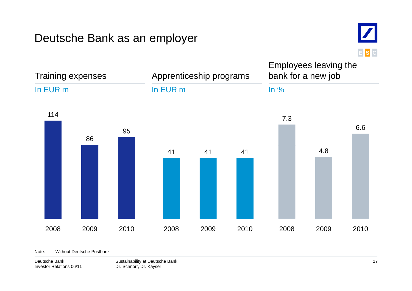### Deutsche Bank as an employer



Trainin g ex g expenses Apprenticeship programs Employees leaving the bank for a new job In EUR mIn EUR mj In %11486957.36.641 41 41 4.8 2008 2009 20102008 2009 2010 2008 2009 2010

Note: Without Deutsche Postbank

Deutsche BankInvestor Relations 06/11 Sustainability at Deutsche Bank Dr. Schnorr, Dr. Kayser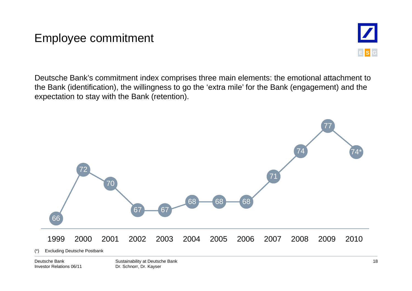### Employee commitment



Deutsche Bank's commitment index comprises three main elements: the emotional attachment to the Bank (identification), the willingness to go the 'extra mile' for the Bank (engagement) and the expectation to stay with the Bank (retention).



Deutsche BankInvestor Relations 06/11 Sustainability at Deutsche Bank Dr. Schnorr, Dr. Kayser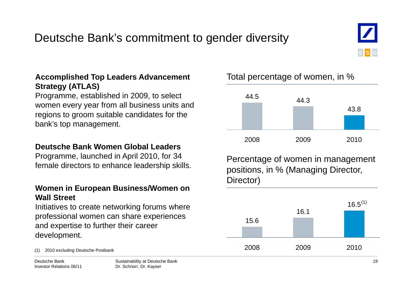# Deutsche Bank's commitment to gender diversity



### **Accomplished Top Leaders Advancement** Total percentage of women, in % **Strategy (ATLAS)**

Programme, established in 2009, to select women every year from all business units and regions to groom suitable candidates for the bank's top management.

### **Deutsche Bank Women Global Leaders Global**

Programme, launched in April 2010, for 34

### **Women in European Business/Women on Wall Street**

Initiatives to create networking forums where professional women can share experiences and expertise to further their career development.

Deutsche BankInvestor Relations 06/11 Dr. Schnorr, Dr. Kayser



Frogramme, launched in April 2010, for 34 Percentage of women in management female directors to enhance leadership skills. Director)



Total percentage of women, in %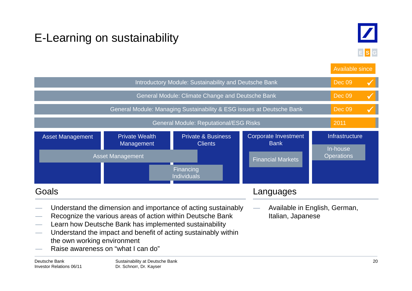# E-Learning on sustainability



**E S G**

|                                                                                                                                                                                                                                                                                                                                                          |  |                                                                       |                                            | Available since               |
|----------------------------------------------------------------------------------------------------------------------------------------------------------------------------------------------------------------------------------------------------------------------------------------------------------------------------------------------------------|--|-----------------------------------------------------------------------|--------------------------------------------|-------------------------------|
| Introductory Module: Sustainability and Deutsche Bank                                                                                                                                                                                                                                                                                                    |  |                                                                       |                                            |                               |
|                                                                                                                                                                                                                                                                                                                                                          |  | General Module: Climate Change and Deutsche Bank                      |                                            | <b>Dec 09</b><br>$\checkmark$ |
|                                                                                                                                                                                                                                                                                                                                                          |  | General Module: Managing Sustainability & ESG issues at Deutsche Bank |                                            | Dec 09                        |
|                                                                                                                                                                                                                                                                                                                                                          |  | <b>General Module: Reputational/ESG Risks</b>                         |                                            | 2011                          |
| <b>Private &amp; Business</b><br><b>Private Wealth</b><br><b>Asset Management</b><br>Management<br><b>Clients</b>                                                                                                                                                                                                                                        |  |                                                                       | <b>Corporate Investment</b><br><b>Bank</b> | Infrastructure                |
| <b>Asset Management</b>                                                                                                                                                                                                                                                                                                                                  |  |                                                                       | <b>Financial Markets</b>                   | In-house<br><b>Operations</b> |
|                                                                                                                                                                                                                                                                                                                                                          |  | Financing<br><b>Individuals</b>                                       |                                            |                               |
| Goals<br>Languages                                                                                                                                                                                                                                                                                                                                       |  |                                                                       |                                            |                               |
| Understand the dimension and importance of acting sustainably<br>Recognize the various areas of action within Deutsche Bank<br>Learn how Deutsche Bank has implemented sustainability<br>$\overline{\phantom{m}}$<br>Understand the impact and benefit of acting sustainably within<br>the own working environment<br>Raise awareness on "what I can do" |  |                                                                       | Italian, Japanese                          | Available in English, German, |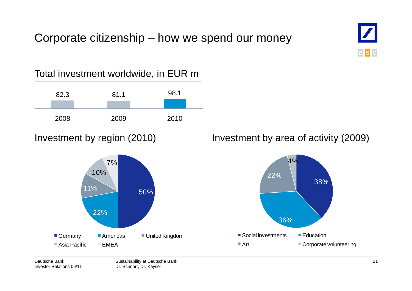### Corporate citizenship – how we spend our money



Sustainability at Deutsche Bank

Dr. Schnorr, Dr. Kayser

Deutsche Bank

Investor Relations 06/11



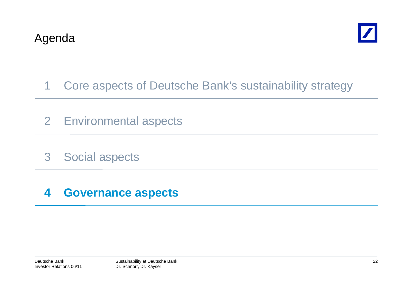

- 1 Core aspects of Deutsche Bank's sustainability strategy
- 2 Environmental aspects
- 3 Social aspects

### **4 Governance aspects**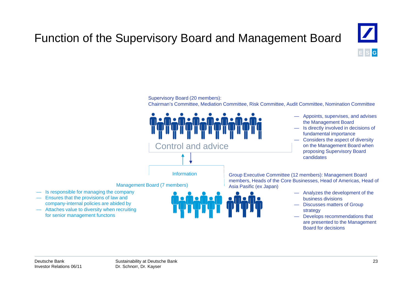# Function of the Supervisory Board and Management Board



### Supervisory Board (20 members):

Chairman's Committee, Mediation Committee, Risk Committee, Audit Committee, Nomination Committee



- Appoints, supervises, and advises the Management Board
- Is directly involved in decisions of fundamental importance
- Considers the aspect of diversity on the Management Board when proposing Supervisory Board candidates

Group Executive Committee (12 members): Management Board members, Heads of the Core Businesses, Head of Americas, Head of

- Analyzes the development of the business divisions
- Attaches value to diversity when recruiting the strategy of the strategy of the strategy of the strategy — Discusses matters of Group
	- for senior management functons **Example 20** and the senior management functons that are presented to the Management Board for decisions

— Is responsible for managing the company — Ensures that the provisions of law and company-internal policies are abided by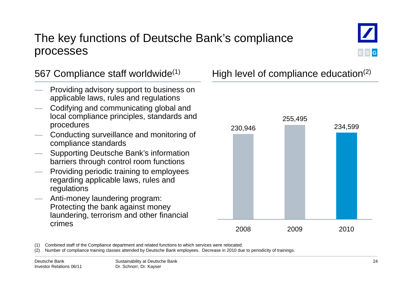### The key functions of Deutsche Bank's compliance processes



- Providing advisory support to business on applicable laws, rules and regulations
- Codifying and communicating global and local compliance principles, standards and procedures
- Conducting surveillance and monitoring of compliance standards
- Supporting Deutsche Bank's information barriers through control room functions
- Providing periodic training to employees regarding applicable laws, rules and regulations
- Anti-money laundering program: Protecting the bank against money laundering, terrorism and other financial crimes

567 Compliance staff worldwide<sup>(1)</sup> High level of compliance education<sup>(2)</sup>



(1) Combined staff of the Compliance department and related functions to which services were relocated relocated.

(2) Number of compliance training classes attended by Deutsche Bank employees. Decrease in 2010 due to periodicity of trainings.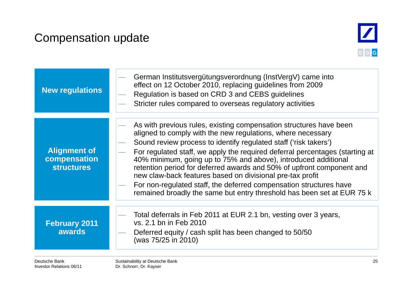# Compensation update



| New regulations                                          | German Institutsvergütungsverordnung (InstVergV) came into<br>effect on 12 October 2010, replacing guidelines from 2009<br>Regulation is based on CRD 3 and CEBS guidelines<br>Stricter rules compared to overseas regulatory activities                                                                                                                                                                                                                                                                                                                                                                                                      |
|----------------------------------------------------------|-----------------------------------------------------------------------------------------------------------------------------------------------------------------------------------------------------------------------------------------------------------------------------------------------------------------------------------------------------------------------------------------------------------------------------------------------------------------------------------------------------------------------------------------------------------------------------------------------------------------------------------------------|
| <b>Alignment of</b><br>compensation<br><b>structures</b> | As with previous rules, existing compensation structures have been<br>aligned to comply with the new regulations, where necessary<br>Sound review process to identify regulated staff ('risk takers')<br>For regulated staff, we apply the required deferral percentages (starting at<br>40% minimum, going up to 75% and above), introduced additional<br>retention period for deferred awards and 50% of upfront component and<br>new claw-back features based on divisional pre-tax profit<br>For non-regulated staff, the deferred compensation structures have<br>remained broadly the same but entry threshold has been set at EUR 75 k |
| <b>February 2011</b><br><b>awards</b>                    | Total deferrals in Feb 2011 at EUR 2.1 bn, vesting over 3 years,<br>vs. 2.1 bn in Feb 2010<br>Deferred equity / cash split has been changed to 50/50<br>(was 75/25 in 2010)                                                                                                                                                                                                                                                                                                                                                                                                                                                                   |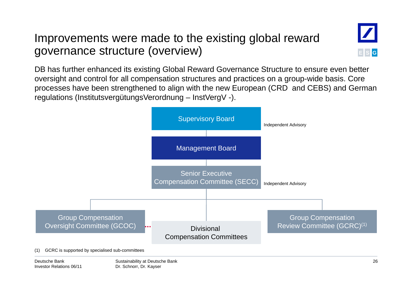### Improvements were made to the existing global reward governance structure (overview) )**<sup>E</sup>**



DB has further enhanced its existing Global Reward Governance Structure to ensure even better oversight and control for all compensation structures and practices on a group-wide basis. Core processes have been strengthened to align with the new European (CRD and CEBS) and German regulations (InstitutsvergütungsVerordnung – InstVergV -).

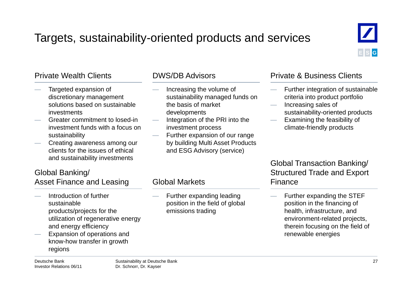# Targets, sustainability-oriented products and services



- Targeted expansion of discretionary management solutions based on sustainable investments
- Greater commitment to losed-in investment funds with a focus on sustainability
- Creating awareness among our clients for the issues of ethical and sustainability investments

### Global Banking/ Asset Finance and Leasing

- Introduction of further sustainableproducts/projects for the utilization of regenerative energy and energy efficiency
- Expansion of operations and know-how transfer in growth g regions

- Increasing the volume of sustainability managed funds on the basis of market developments
- Integration of the PRI into the investment process
- Further expansion of our range by building Multi Asset Products and ESG Advisory (service)

 Further expanding leading position in the field of global

emissions trading

Global Markets

### Private Wealth Clients **DWS/DB** Advisors **Private & Business Clients**

- Further integration of sustainable criteria into product portfolio
- Increasing sales of s the sustainability-oriented products
	- Examining the feasibility of climate-friendly products

### Global Transaction Banking/ Structured Trade and Export Finance

 Further expanding the STEF position in the financing of health, infrastructure, and environment-related projects, therein focusing on the field of renewable energies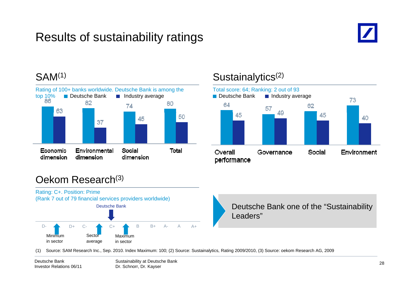# Results of sustainability ratings



### SAM<sup>(1)</sup>



### Sustainalytics<sup>(2)</sup>



### Oekom Research(3)



(1) Source: SAM Research Inc., Sep. 2010. Index Maximum: 100; (2) Source: Sustainalytics, Rating 2009/2010, (3) Source: oekom Research AG, 2009

Sustainability at Deutsche Bank Dr. Schnorr, Dr. Kayser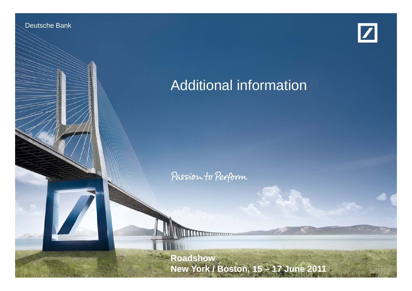Deutsche Banken Banken

Investor Relations 06/11



# Additional information

Passion to Perform

Dr. Schnorf, Dr. Kayser, Dr. Kayser, Dr. Kayser, Dr. Kayser, Dr. Kayser, Dr. Kayser, Dr. Kayser, Dr. Kayser, D

Sustainability at Deutsche Bank **Roadshow New York / Boston Boston, 15 – 17 June 2011**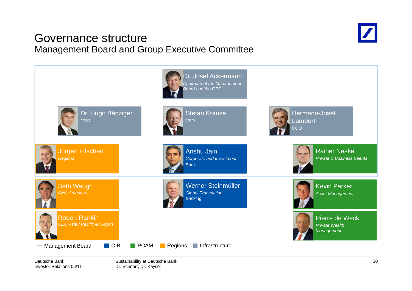### Governance structureManagement Board and Group Executive Committee





Deutsche BankInvestor Relations 06/11 Sustainability at Deutsche Bank Dr. Schnorr, Dr. Kayser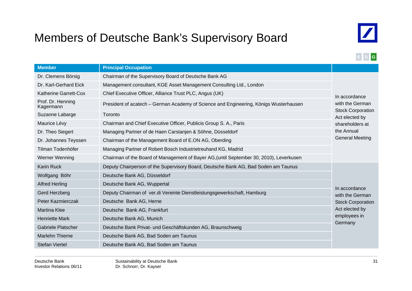# Members of Deutsche Bank's Supervisory Board



### **E S G**

| <b>Member</b>                  | <b>Principal Occupation</b>                                                             |                                            |
|--------------------------------|-----------------------------------------------------------------------------------------|--------------------------------------------|
| Dr. Clemens Börsig             | Chairman of the Supervisory Board of Deutsche Bank AG                                   |                                            |
| Dr. Karl-Gerhard Eick          | Management consultant, KGE Asset Management Consulting Ltd., London                     |                                            |
| Katherine Garrett-Cox          | Chief Executive Officer, Alliance Trust PLC, Angus (UK)                                 | In accordance                              |
| Prof. Dr. Henning<br>Kagermann | President of acatech – German Academy of Science and Engineering, Königs Wusterhausen   |                                            |
| Suzanne Labarge                | Toronto                                                                                 | <b>Stock Corporation</b><br>Act elected by |
| Maurice Lévy                   | Chairman and Chief Executive Officer, Publicis Group S. A., Paris                       | shareholders at                            |
| Dr. Theo Siegert               | Managing Partner of de Haen Carstanjen & Söhne, Düsseldorf                              | the Annual                                 |
| Dr. Johannes Teyssen           | <b>General Meeting</b><br>Chairman of the Management Board of E.ON AG, Oberding         |                                            |
| Tilman Todenhöfer              | Managing Partner of Robert Bosch Industrietreuhand KG, Madrid                           |                                            |
| Werner Wenning                 | Chairman of the Board of Management of Bayer AG, (until September 30, 2010), Leverkusen |                                            |
| <b>Karin Ruck</b>              | Deputy Chairperson of the Supervisory Board, Deutsche Bank AG, Bad Soden am Taunus      |                                            |
| Wolfgang Böhr                  | Deutsche Bank AG, Düsseldorf                                                            |                                            |
| <b>Alfred Herling</b>          | Deutsche Bank AG, Wuppertal                                                             |                                            |
| Gerd Herzberg                  | Deputy Chairman of ver.di Vereinte Dienstleistungsgewerkschaft, Hamburg                 | In accordance<br>with the German           |
| Peter Kazmierczak              | Deutsche Bank AG, Herne                                                                 | <b>Stock Corporation</b>                   |
| <b>Martina Klee</b>            | Deutsche Bank AG, Frankfurt                                                             | Act elected by                             |
| <b>Henriette Mark</b>          | employees in<br>Deutsche Bank AG, Munich                                                |                                            |
| <b>Gabriele Platscher</b>      | Deutsche Bank Privat- und Geschäftskunden AG, Braunschweig                              | Germany                                    |
| <b>Marlehn Thieme</b>          | Deutsche Bank AG, Bad Soden am Taunus                                                   |                                            |
| <b>Stefan Viertel</b>          | Deutsche Bank AG, Bad Soden am Taunus                                                   |                                            |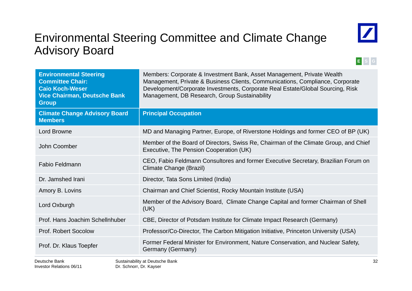# Environmental Steering Committee and Climate Change Advisory Board



### **E S G**

| <b>Environmental Steering</b><br><b>Committee Chair:</b><br><b>Caio Koch-Weser</b><br><b>Vice Chairman, Deutsche Bank</b><br><b>Group</b> | Members: Corporate & Investment Bank, Asset Management, Private Wealth<br>Management, Private & Business Clients, Communications, Compliance, Corporate<br>Development/Corporate Investments, Corporate Real Estate/Global Sourcing, Risk<br>Management, DB Research, Group Sustainability |
|-------------------------------------------------------------------------------------------------------------------------------------------|--------------------------------------------------------------------------------------------------------------------------------------------------------------------------------------------------------------------------------------------------------------------------------------------|
| <b>Climate Change Advisory Board</b><br><b>Members</b>                                                                                    | <b>Principal Occupation</b>                                                                                                                                                                                                                                                                |
| <b>Lord Browne</b>                                                                                                                        | MD and Managing Partner, Europe, of Riverstone Holdings and former CEO of BP (UK)                                                                                                                                                                                                          |
| John Coomber                                                                                                                              | Member of the Board of Directors, Swiss Re, Chairman of the Climate Group, and Chief<br>Executive, The Pension Cooperation (UK)                                                                                                                                                            |
| <b>Fabio Feldmann</b>                                                                                                                     | CEO, Fabio Feldmann Consultores and former Executive Secretary, Brazilian Forum on<br>Climate Change (Brazil)                                                                                                                                                                              |
| Dr. Jamshed Irani                                                                                                                         | Director, Tata Sons Limited (India)                                                                                                                                                                                                                                                        |
| Amory B. Lovins                                                                                                                           | Chairman and Chief Scientist, Rocky Mountain Institute (USA)                                                                                                                                                                                                                               |
| Lord Oxburgh                                                                                                                              | Member of the Advisory Board, Climate Change Capital and former Chairman of Shell<br>(UK)                                                                                                                                                                                                  |
| Prof. Hans Joachim Schellnhuber                                                                                                           | CBE, Director of Potsdam Institute for Climate Impact Research (Germany)                                                                                                                                                                                                                   |
| <b>Prof. Robert Socolow</b>                                                                                                               | Professor/Co-Director, The Carbon Mitigation Initiative, Princeton University (USA)                                                                                                                                                                                                        |
| Prof. Dr. Klaus Toepfer                                                                                                                   | Former Federal Minister for Environment, Nature Conservation, and Nuclear Safety,<br>Germany (Germany)                                                                                                                                                                                     |
| Doutcobo Ropk                                                                                                                             | າາ<br>Suctoinability of Doutcobe Rapk                                                                                                                                                                                                                                                      |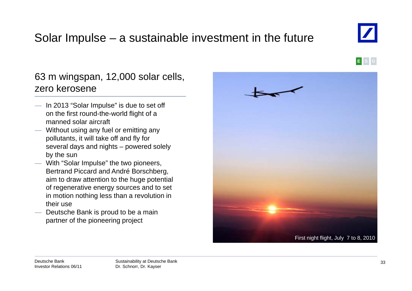# Solar Impulse – a sustainable investment in the future

### 63 <sup>m</sup> wingspan, 12,000 solar cells, zero kerosene

- In 2013 "Solar Impulse" is due to set off on the first round-the-world flight of a manned solar aircraft
- Without using any fuel or emitting any pollutants, it will take off and fly for several days and nights – powered solely by the sun
- With "Solar Impulse" the two pioneers, Bertrand Piccard and André Borschberg, aim to draw attention to the huge potential of regenerative energy sources and to set in motion nothing less than a revolution in their use
- $-$  Deutsche Bank is proud to be a main partner of the pioneering project









**E S G**

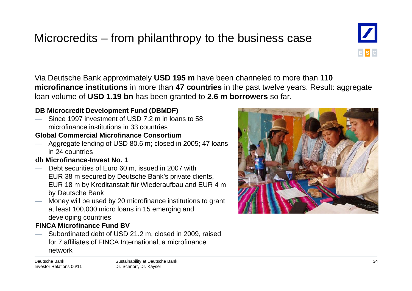# Microcredits – from philanthropy to the business case

Via Deutsche Bank approximately **USD 195 <sup>m</sup>** have been channeled to more than **110 microfinance institutions** in more than **47 countries** in the past twelve years. Result: aggregate loan volume of **USD 1.19 bn** has been granted to **2.6 m borrowers** so far.

### **DB Microcredit Development Fund (DBMDF)**

 Since 1997 investment of USD 7.2 m in loans to 58 microfinance institutions in 33 countries

### **Global Commercial Microfinance Consortium**

— Aggregate lending of USD 80.6 m; closed in 2005; 47 loans in 24 countries

### **db Microfinance-Invest No. 1**

- Debt securities of Euro 60 m, issued in 2007 with EUR 38 m secured by Deutsche Bank's private clients, EUR 18 m by Kreditanstalt für Wiederaufbau and EUR 4 m by Deutsche Bank
- Money will be used by 20 microfinance institutions to grant at least 100,000 micro loans in 15 emerging and developing countries

### **FINCA Microfinance Fund BV**

 Subordinated debt of USD 21.2 m, closed in 2009, raised for 7 affiliates of FINCA International, a microfinance for 7 affiliates of FINCA International, a microfinance<br>network



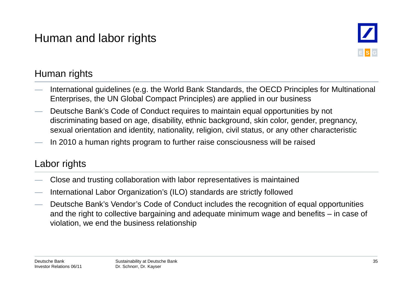# Human and labor rights



### Human rights

- International guidelines (e.g. the World Bank Standards, the OECD Principles for Multinational Enterprises, the UN Global Compact Principles) are applied in our business
- Deutsche Bank's Code of Conduct requires to maintain equal opportunities by not discriminating based on age, disability, ethnic background, skin color, gender, pregnancy, sexual orientation and identity, nationality, religion, civil status, or any other characteristic
- In 2010 a human rights program to further raise consciousness will be raised

### Labor rights

- Close and trusting collaboration with labor representatives is maintained<br>— International Labor Organization's (ILO) standards are strictly followed
- International Labor Organization's (ILO) standards are strictly followed
- Deutsche Bank's Vendor's Code of Conduct includes the recognition of equal opportunities and the right to collective bargaining and adequate minimum wage and benefits – in case of violation, we end the business relationship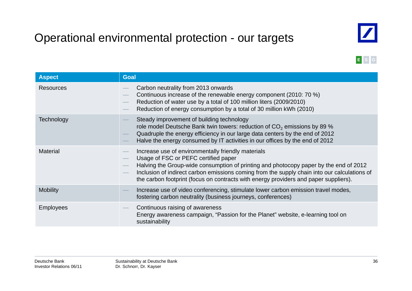# Operational environmental protection - our targets



**E S G**

| <b>Aspect</b>    | <b>Goal</b>                                                                                                                                                                                                                                                                                                                                                                 |
|------------------|-----------------------------------------------------------------------------------------------------------------------------------------------------------------------------------------------------------------------------------------------------------------------------------------------------------------------------------------------------------------------------|
| <b>Resources</b> | Carbon neutrality from 2013 onwards<br>Continuous increase of the renewable energy component (2010: 70 %)<br>Reduction of water use by a total of 100 million liters (2009/2010)<br>Reduction of energy consumption by a total of 30 million kWh (2010)                                                                                                                     |
| Technology       | Steady improvement of building technology<br>role model Deutsche Bank twin towers: reduction of $CO2$ emissions by 89 %<br>Quadruple the energy efficiency in our large data centers by the end of 2012<br>Halve the energy consumed by IT activities in our offices by the end of 2012                                                                                     |
| <b>Material</b>  | Increase use of environmentally friendly materials<br>Usage of FSC or PEFC certified paper<br>Halving the Group-wide consumption of printing and photocopy paper by the end of 2012<br>Inclusion of indirect carbon emissions coming from the supply chain into our calculations of<br>the carbon footprint (focus on contracts with energy providers and paper suppliers). |
| <b>Mobility</b>  | Increase use of video conferencing, stimulate lower carbon emission travel modes,<br>fostering carbon neutrality (business journeys, conferences)                                                                                                                                                                                                                           |
| <b>Employees</b> | Continuous raising of awareness<br>Energy awareness campaign, "Passion for the Planet" website, e-learning tool on<br>sustainability                                                                                                                                                                                                                                        |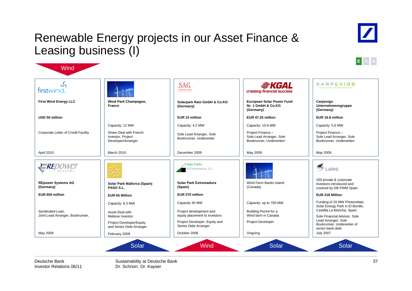### Renewable Energy projects in our Asset Finance & Leasing business (I)





| firstwind.                                           |                                                                   | SAG<br>Solarstrom                                        | <i><del>≘</del>KGAL</i><br>creating financial success                     | CARPEVIGO<br>nutze die kraft erneuerbarer energie                              |
|------------------------------------------------------|-------------------------------------------------------------------|----------------------------------------------------------|---------------------------------------------------------------------------|--------------------------------------------------------------------------------|
| <b>First Wind Energy LLC</b>                         | Wind Park Champagne,<br>France                                    | Solarpark Rain GmbH & Co.KG<br>(Germany)                 | <b>European Solar Power Fund</b><br>Nr. 1 GmbH & Co.KG<br>(Germany)       | Carpevigo<br>Unternehmensgruppe<br>(Germany)                                   |
| USD 50 million                                       |                                                                   | EUR 10 million                                           | EUR 47.25 million                                                         | EUR 18.8 million                                                               |
|                                                      | Capacity: 12 MW                                                   | Capacity: 4.2 MW                                         | Capacity: 10.8 MW                                                         | Capacity: 5.6 MW                                                               |
| Corporate Letter of Credit Facility                  | Share Deal with French<br>Investor, Project<br>Developer/Arranger | Sole Lead Arranger, Sole<br>Bookrunner, Underwriter      | Project Finance -<br>Sole Lead Arranger, Sole<br>Bookrunner, Underwriterr | Project Finance -<br>Sole Lead Arranger, Sole<br>Bookrunner, Underwriterr      |
| April 2010                                           | March 2010                                                        | December 2009                                            | May 2009                                                                  | May 2009                                                                       |
| <b>-RE</b> D<br>Svstems                              |                                                                   | Solar Parks<br>of Extremadura, S.L.                      |                                                                           | <b>THE LARIS</b>                                                               |
| <b>REpower Systems AG</b><br>(Germany)               | Solar Park Mallorca (Spain)<br>PASO S.L.                          | Solar Park Extremadura<br>(Spain)                        | Wind Farm Banks Island<br>(Canada)                                        | 200 private & corporate<br>investors introduced and<br>covered by DB PWM Spain |
| EUR 600 million                                      | <b>EUR 65 Million</b>                                             | EUR 270 million                                          |                                                                           | EUR 218 Million                                                                |
|                                                      | Capacity: 8.3 MW                                                  | Capacity 30 MW                                           | Capacity: up to 700 MW                                                    | Funding of 20 MW Photovoltaic<br>Solar Energy Park in El Bonillo,              |
| Syndicated Loan,<br>Joint Lead Arranger, Bookrunner, | Asset Deal with<br>Maltese Investor                               | Project development and<br>equity placement to investors | Building Permit for a<br>Wind farm in Canada                              | Castillia La Mancha, Spain<br>Sole Financial Advisor, Sole                     |
|                                                      | Project Developer/Equity<br>and Senior Debt Arranger              | Project Developer, Equity and<br>Senior Debt Arranger    | <b>Project Developer</b>                                                  | Lead Arranger, Sole<br>Bookrunner, Underwriter of<br>senior bank debt          |
| May 2009                                             | February 2009                                                     | October 2008                                             | Ongoing                                                                   | <b>July 2007</b>                                                               |

Deutsche BankInvestor Relations 06/11

**Wind** 

Sustainability at Deutsche Bank Dr. Schnorr, Dr. Kayser

37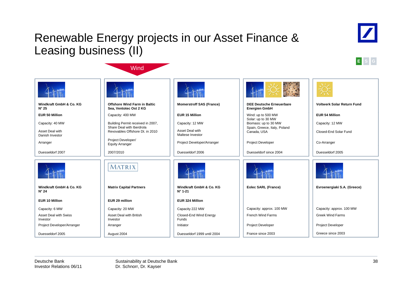### Renewable Energy projects in our Asset Finance & Leasing business (II)

**Wind** 





|                                           |                                                               |                                             | $4 + 56 =$                                              |                                   |
|-------------------------------------------|---------------------------------------------------------------|---------------------------------------------|---------------------------------------------------------|-----------------------------------|
| Windkraft GmbH & Co. KG<br>$N^{\circ} 25$ | <b>Offshore Wind Farm in Baltic</b><br>Sea, Ventotec Ost 2 KG | <b>Momerstroff SAS (France)</b>             | <b>DEE Deutsche Erneuerbare</b><br><b>Energien GmbH</b> | <b>Voltwerk Solar Return Fund</b> |
| <b>EUR 50 Million</b>                     | Capacity: 400 MW                                              | <b>EUR 15 Million</b>                       | Wind: up to 500 MW                                      | <b>EUR 54 Million</b>             |
| Capacity: 40 MW                           | Building Permit received in 2007,                             | Capacity: 12 MW                             | Solar: up to 30 MW<br>Biomass: up to 30 MW              | Capacity: 12 MW                   |
| Asset Deal with<br>Danish Investor        | Share Deal with Iberdrola<br>Revovables Offshore Dt. in 2010  | Asset Deal with<br>Maltese Investor         | Spain, Greece, Italy, Poland<br>Canada, USA             | Closed-End Solar Fund             |
| Arranger                                  | Project Developer/<br><b>Equity Arranger</b>                  | Project Developer/Arranger                  | Project Developer                                       | Co-Arranger                       |
| Duesseldorf 2007                          | 2007/2010                                                     | Duesseldorf 2006                            | Duesseldorf since 2004                                  | Duesseldorf 2005                  |
|                                           | MATRIX                                                        |                                             |                                                         |                                   |
| Windkraft GmbH & Co. KG<br>$N^{\circ} 24$ | <b>Matrix Capital Partners</b>                                | Windkraft GmbH & Co. KG<br>$N^{\circ}$ 1-21 | Eolec SARL (France)                                     | Evroenergiaki S.A. (Greece)       |
| <b>EUR 10 Million</b>                     | EUR 29 million                                                | EUR 324 Million                             |                                                         |                                   |
| Capacity: 6 MW                            | Capacity: 20 MW                                               | Capacity 222 MW                             | Capacity: approx. 100 MW                                | Capacity: approx. 100 MW          |
| <b>Asset Deal with Swiss</b><br>Investor  | Asset Deal with British<br>Investor                           | Closed-End Wind Energy<br>Funds             | French Wind Farms                                       | <b>Greek Wind Farms</b>           |
| Project Developer/Arranger                | Arranger                                                      | Initiator                                   | Project Developer                                       | Project Developer                 |
| Duesseldorf 2005                          | August 2004                                                   | Duesseldorf 1999 until 2004                 | France since 2003                                       | Greece since 2003                 |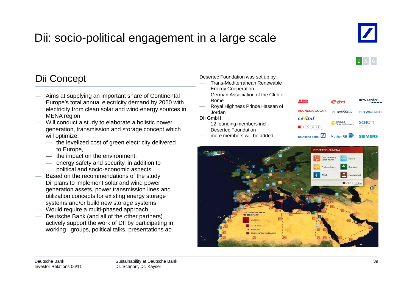# Dii: socio-political engagement in a large scale



**E S G**

### Dii Concept Desertec Foundation was set u Concept

- Aims at supplying an important share of Continental Europe's total annual electricity demand by 2050 with electricity from clean solar and wind energy sources in  $\overline{\phantom{a}}$  Borda<br>MENA region DII GmbH MENA region
- Will conduct a study to elaborate a holistic power generation, transmission and storage concept which will optimize:
	- the levelized cost of green electricity delivered to Europe,
	- the impact on the environment,
	- energy safety and security, in addition to political and socio-economic aspects.
- $-\hspace{0.1cm}$  Based on the recommendations of the study Dii plans to implement solar and wind power generation assets, power transmission lines and utilization concepts for existing energy storage systems and/or build new storage systems
- $-$  Would require a multi-phased approach
- Deutsche Bank (and all of the other partners) actively support the work of DII by participating in working groups, political talks, presentations ao

p b y p

- Trans-Mediterranean Renewable Energy Cooperation
- German Association of the Club of Rome
- Royal Highness Prince Hassan of Jordan

- 12 founding members incl. Desertec Foundation
- more members will be added



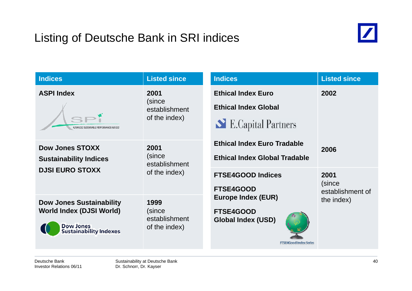# Listing of Deutsche Bank in SRI indices



| <b>Indices</b>                                                                                                          | <b>Listed since</b>                              | <b>Indices</b>                                                                                              | <b>Listed since</b>                |
|-------------------------------------------------------------------------------------------------------------------------|--------------------------------------------------|-------------------------------------------------------------------------------------------------------------|------------------------------------|
| <b>ASPI Index</b><br>ADVANCED SUSTAINABLE PERFORMANCE INDICES                                                           | 2001<br>(since<br>establishment<br>of the index) | <b>Ethical Index Euro</b><br><b>Ethical Index Global</b><br>E.Capital Partners                              | 2002                               |
| <b>Dow Jones STOXX</b><br><b>Sustainability Indices</b>                                                                 | 2001<br>(since<br>establishment                  | <b>Ethical Index Euro Tradable</b><br><b>Ethical Index Global Tradable</b>                                  | 2006                               |
| <b>DJSI EURO STOXX</b>                                                                                                  | of the index)                                    | <b>FTSE4GOOD Indices</b><br><b>FTSE4GOOD</b>                                                                | 2001<br>(since<br>establishment of |
| <b>Dow Jones Sustainability</b><br><b>World Index (DJSI World)</b><br><b>Dow Jones</b><br><b>Sustainability Indexes</b> | 1999<br>(since<br>establishment<br>of the index) | <b>Europe Index (EUR)</b><br><b>FTSE4GOOD</b><br><b>Global Index (USD)</b><br><b>FTSE4Good Index Series</b> | the index)                         |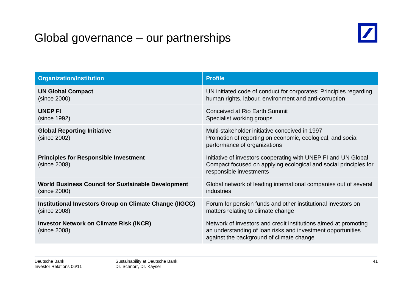# Global governance – our partnerships



| <b>Organization/Institution</b>                                | <b>Profile</b>                                                                                                                                                             |
|----------------------------------------------------------------|----------------------------------------------------------------------------------------------------------------------------------------------------------------------------|
| <b>UN Global Compact</b>                                       | UN initiated code of conduct for corporates: Principles regarding                                                                                                          |
| (since 2000)                                                   | human rights, labour, environment and anti-corruption                                                                                                                      |
| <b>UNEP FI</b>                                                 | Conceived at Rio Earth Summit                                                                                                                                              |
| (since 1992)                                                   | Specialist working groups                                                                                                                                                  |
| <b>Global Reporting Initiative</b><br>(since 2002)             | Multi-stakeholder initiative conceived in 1997<br>Promotion of reporting on economic, ecological, and social<br>performance of organizations                               |
| <b>Principles for Responsible Investment</b><br>(since 2008)   | Initiative of investors cooperating with UNEP FI and UN Global<br>Compact focused on applying ecological and social principles for<br>responsible investments              |
| <b>World Business Council for Sustainable Development</b>      | Global network of leading international companies out of several                                                                                                           |
| (since 2000)                                                   | industries                                                                                                                                                                 |
| Institutional Investors Group on Climate Change (IIGCC)        | Forum for pension funds and other institutional investors on                                                                                                               |
| (since 2008)                                                   | matters relating to climate change                                                                                                                                         |
| <b>Investor Network on Climate Risk (INCR)</b><br>(since 2008) | Network of investors and credit institutions aimed at promoting<br>an understanding of loan risks and investment opportunities<br>against the background of climate change |